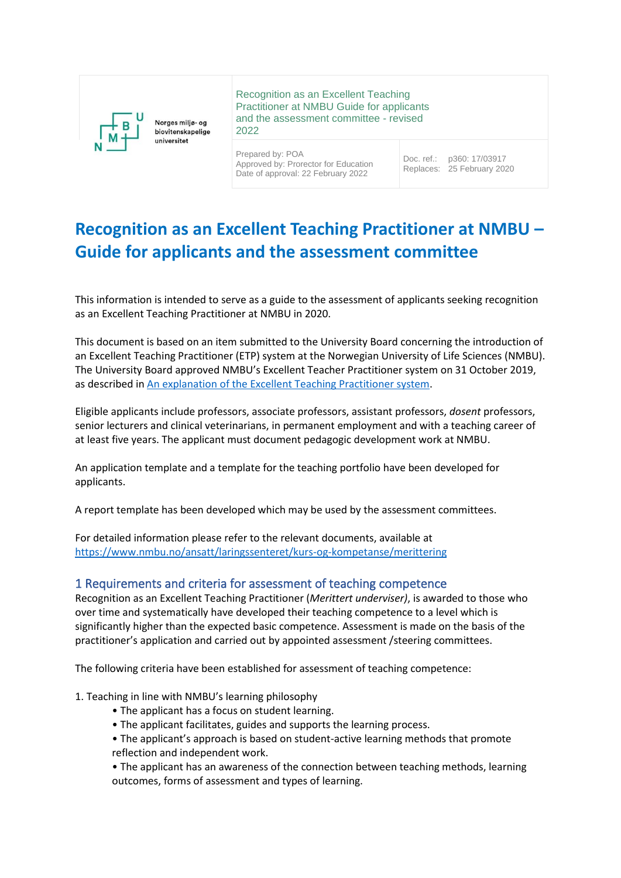

Recognition as an Excellent Teaching Practitioner at NMBU Guide for applicants and the assessment committee - revised 2022

Prepared by: POA Approved by: Prorector for Education Date of approval: 22 February 2022

Doc. ref.: Replaces: p360: 17/03917 25 February 2020

# **Recognition as an Excellent Teaching Practitioner at NMBU – Guide for applicants and the assessment committee**

This information is intended to serve as a guide to the assessment of applicants seeking recognition as an Excellent Teaching Practitioner at NMBU in 2020.

This document is based on an item submitted to the University Board concerning the introduction of an Excellent Teaching Practitioner (ETP) system at the Norwegian University of Life Sciences (NMBU). The University Board approved NMBU's Excellent Teacher Practitioner system on 31 October 2019, as described in [An explanation of the Excellent Teaching Practitioner system.](https://nmbu.public360online.com/locator/DMS/Document/Details/Simplified/2?recno=533001&module=Document&VerID=502874&subtype=2)

Eligible applicants include professors, associate professors, assistant professors, *dosent* professors, senior lecturers and clinical veterinarians, in permanent employment and with a teaching career of at least five years. The applicant must document pedagogic development work at NMBU.

An application template and a template for the teaching portfolio have been developed for applicants.

A report template has been developed which may be used by the assessment committees.

For detailed information please refer to the relevant documents, available at <https://www.nmbu.no/ansatt/laringssenteret/kurs-og-kompetanse/merittering>

### 1 Requirements and criteria for assessment of teaching competence

Recognition as an Excellent Teaching Practitioner (*Merittert underviser)*, is awarded to those who over time and systematically have developed their teaching competence to a level which is significantly higher than the expected basic competence. Assessment is made on the basis of the practitioner's application and carried out by appointed assessment /steering committees.

The following criteria have been established for assessment of teaching competence:

- 1. Teaching in line with NMBU's learning philosophy
	- The applicant has a focus on student learning.
	- The applicant facilitates, guides and supports the learning process.
	- The applicant's approach is based on student-active learning methods that promote reflection and independent work.
	- The applicant has an awareness of the connection between teaching methods, learning outcomes, forms of assessment and types of learning.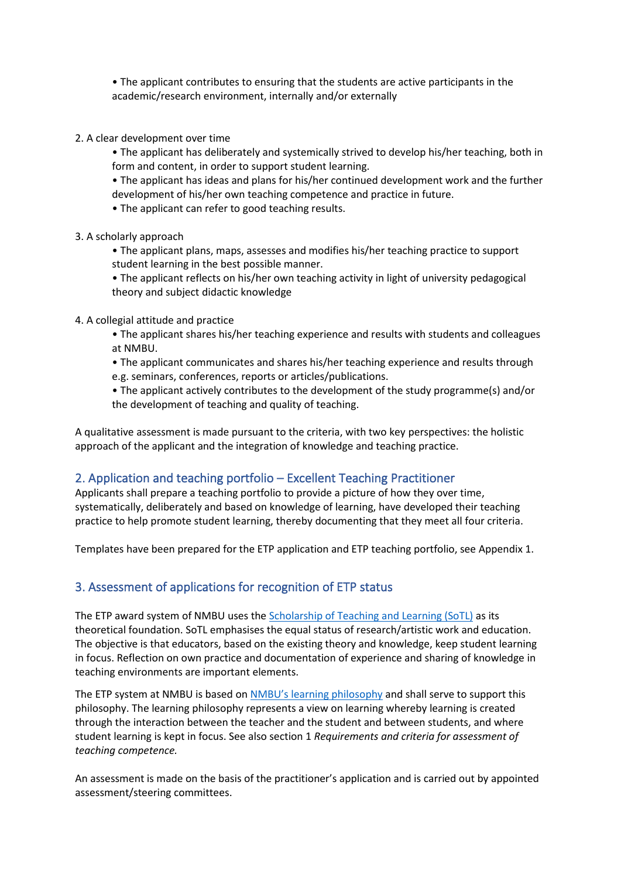• The applicant contributes to ensuring that the students are active participants in the academic/research environment, internally and/or externally

2. A clear development over time

• The applicant has deliberately and systemically strived to develop his/her teaching, both in form and content, in order to support student learning.

• The applicant has ideas and plans for his/her continued development work and the further development of his/her own teaching competence and practice in future.

• The applicant can refer to good teaching results.

3. A scholarly approach

• The applicant plans, maps, assesses and modifies his/her teaching practice to support student learning in the best possible manner.

• The applicant reflects on his/her own teaching activity in light of university pedagogical theory and subject didactic knowledge

4. A collegial attitude and practice

• The applicant shares his/her teaching experience and results with students and colleagues at NMBU.

• The applicant communicates and shares his/her teaching experience and results through e.g. seminars, conferences, reports or articles/publications.

• The applicant actively contributes to the development of the study programme(s) and/or the development of teaching and quality of teaching.

A qualitative assessment is made pursuant to the criteria, with two key perspectives: the holistic approach of the applicant and the integration of knowledge and teaching practice.

## 2. Application and teaching portfolio – Excellent Teaching Practitioner

Applicants shall prepare a teaching portfolio to provide a picture of how they over time, systematically, deliberately and based on knowledge of learning, have developed their teaching practice to help promote student learning, thereby documenting that they meet all four criteria.

Templates have been prepared for the ETP application and ETP teaching portfolio, see Appendix 1.

## 3. Assessment of applications for recognition of ETP status

The ETP award system of NMBU uses the [Scholarship of Teaching and Learning \(SoTL\)](https://www.idunn.no/uniped/2011/03/scholarship_of_teaching_and_learning_sotl_i_norge_pedago) as its theoretical foundation. SoTL emphasises the equal status of research/artistic work and education. The objective is that educators, based on the existing theory and knowledge, keep student learning in focus. Reflection on own practice and documentation of experience and sharing of knowledge in teaching environments are important elements.

The ETP system at NMBU is based on [NMBU's learning philosophy](https://www.nmbu.no/ansatt/laringssenteret/kurs-og-kompetanse/laringsfilosofi) and shall serve to support this philosophy. The learning philosophy represents a view on learning whereby learning is created through the interaction between the teacher and the student and between students, and where student learning is kept in focus. See also section 1 *Requirements and criteria for assessment of teaching competence.*

An assessment is made on the basis of the practitioner's application and is carried out by appointed assessment/steering committees.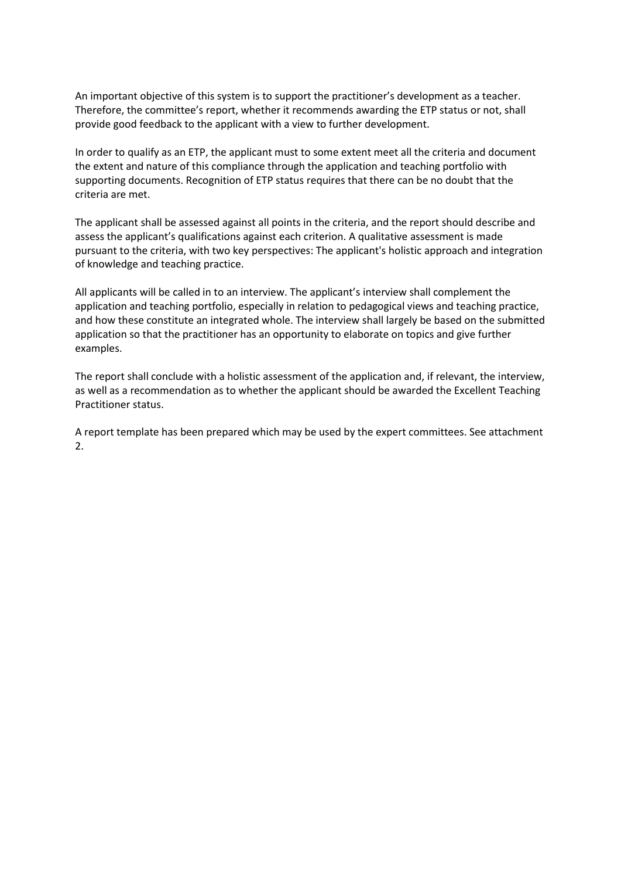An important objective of this system is to support the practitioner's development as a teacher. Therefore, the committee's report, whether it recommends awarding the ETP status or not, shall provide good feedback to the applicant with a view to further development.

In order to qualify as an ETP, the applicant must to some extent meet all the criteria and document the extent and nature of this compliance through the application and teaching portfolio with supporting documents. Recognition of ETP status requires that there can be no doubt that the criteria are met.

The applicant shall be assessed against all points in the criteria, and the report should describe and assess the applicant's qualifications against each criterion. A qualitative assessment is made pursuant to the criteria, with two key perspectives: The applicant's holistic approach and integration of knowledge and teaching practice.

All applicants will be called in to an interview. The applicant's interview shall complement the application and teaching portfolio, especially in relation to pedagogical views and teaching practice, and how these constitute an integrated whole. The interview shall largely be based on the submitted application so that the practitioner has an opportunity to elaborate on topics and give further examples.

The report shall conclude with a holistic assessment of the application and, if relevant, the interview, as well as a recommendation as to whether the applicant should be awarded the Excellent Teaching Practitioner status.

A report template has been prepared which may be used by the expert committees. See attachment 2.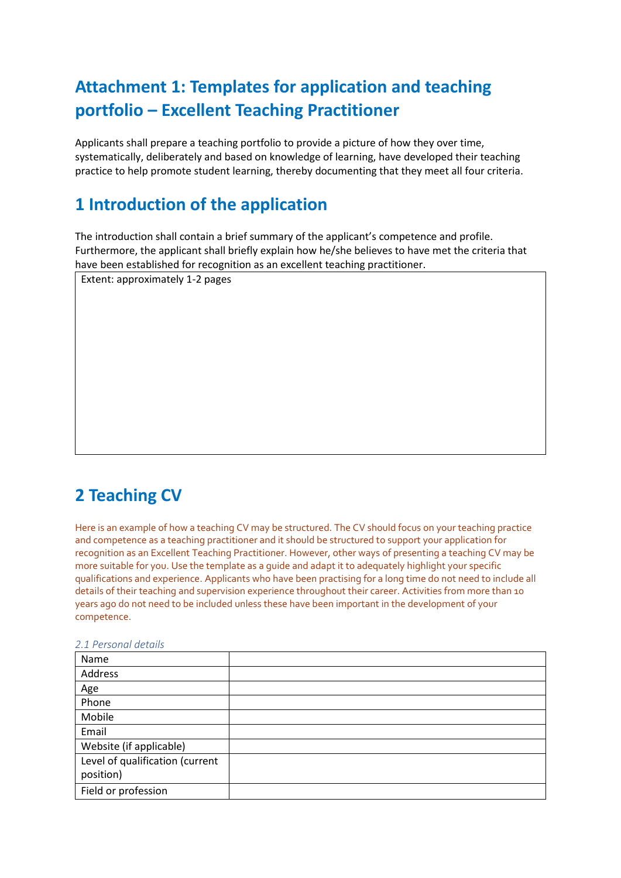# **Attachment 1: Templates for application and teaching portfolio – Excellent Teaching Practitioner**

Applicants shall prepare a teaching portfolio to provide a picture of how they over time, systematically, deliberately and based on knowledge of learning, have developed their teaching practice to help promote student learning, thereby documenting that they meet all four criteria.

# **1 Introduction of the application**

The introduction shall contain a brief summary of the applicant's competence and profile. Furthermore, the applicant shall briefly explain how he/she believes to have met the criteria that have been established for recognition as an excellent teaching practitioner.

Extent: approximately 1-2 pages

# **2 Teaching CV**

Here is an example of how a teaching CV may be structured. The CV should focus on your teaching practice and competence as a teaching practitioner and it should be structured to support your application for recognition as an Excellent Teaching Practitioner. However, other ways of presenting a teaching CV may be more suitable for you. Use the template as a guide and adapt it to adequately highlight your specific qualifications and experience. Applicants who have been practising for a long time do not need to include all details of their teaching and supervision experience throughout their career. Activities from more than 10 years ago do not need to be included unless these have been important in the development of your competence.

| 2.1 Personal details |  |
|----------------------|--|
|----------------------|--|

| Name                            |  |
|---------------------------------|--|
| Address                         |  |
| Age                             |  |
| Phone                           |  |
| Mobile                          |  |
| Email                           |  |
| Website (if applicable)         |  |
| Level of qualification (current |  |
| position)                       |  |
| Field or profession             |  |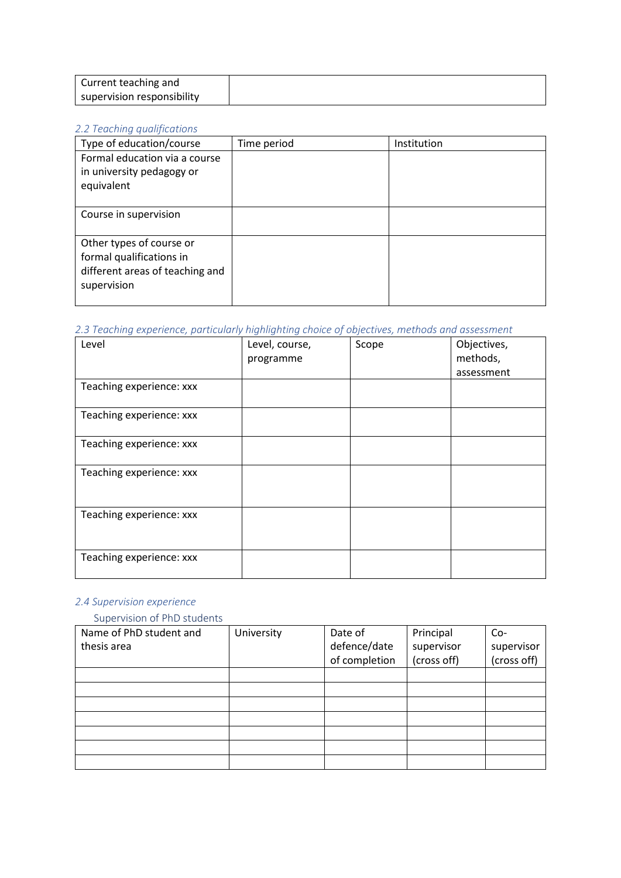### *2.2 Teaching qualifications*

| Type of education/course                                                                               | Time period | Institution |
|--------------------------------------------------------------------------------------------------------|-------------|-------------|
| Formal education via a course<br>in university pedagogy or<br>equivalent                               |             |             |
| Course in supervision                                                                                  |             |             |
| Other types of course or<br>formal qualifications in<br>different areas of teaching and<br>supervision |             |             |

## *2.3 Teaching experience, particularly highlighting choice of objectives, methods and assessment*

| Level                    | Level, course,<br>programme | Scope | Objectives,<br>methods,<br>assessment |
|--------------------------|-----------------------------|-------|---------------------------------------|
| Teaching experience: xxx |                             |       |                                       |
| Teaching experience: xxx |                             |       |                                       |
| Teaching experience: xxx |                             |       |                                       |
| Teaching experience: xxx |                             |       |                                       |
| Teaching experience: xxx |                             |       |                                       |
| Teaching experience: xxx |                             |       |                                       |

## *2.4 Supervision experience*

## Supervision of PhD students

| Name of PhD student and<br>thesis area | University | Date of<br>defence/date<br>of completion | Principal<br>supervisor<br>(cross off) | Co-<br>supervisor<br>(cross off) |
|----------------------------------------|------------|------------------------------------------|----------------------------------------|----------------------------------|
|                                        |            |                                          |                                        |                                  |
|                                        |            |                                          |                                        |                                  |
|                                        |            |                                          |                                        |                                  |
|                                        |            |                                          |                                        |                                  |
|                                        |            |                                          |                                        |                                  |
|                                        |            |                                          |                                        |                                  |
|                                        |            |                                          |                                        |                                  |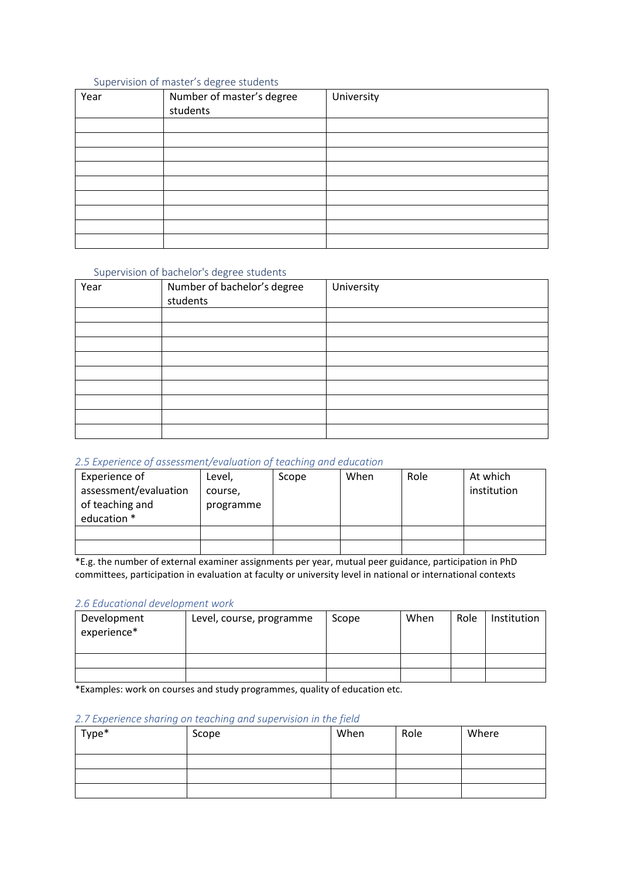#### Supervision of master's degree students

| Year | Number of master's degree | University |
|------|---------------------------|------------|
|      | students                  |            |
|      |                           |            |
|      |                           |            |
|      |                           |            |
|      |                           |            |
|      |                           |            |
|      |                           |            |
|      |                           |            |
|      |                           |            |
|      |                           |            |

#### Supervision of bachelor's degree students

| Year | Number of bachelor's degree<br>students | University |
|------|-----------------------------------------|------------|
|      |                                         |            |
|      |                                         |            |
|      |                                         |            |
|      |                                         |            |
|      |                                         |            |
|      |                                         |            |
|      |                                         |            |
|      |                                         |            |
|      |                                         |            |

#### *2.5 Experience of assessment/evaluation of teaching and education*

| Experience of<br>assessment/evaluation<br>of teaching and<br>education * | Level,<br>course,<br>programme | Scope | When | Role | At which<br>institution |
|--------------------------------------------------------------------------|--------------------------------|-------|------|------|-------------------------|
|                                                                          |                                |       |      |      |                         |
|                                                                          |                                |       |      |      |                         |

\*E.g. the number of external examiner assignments per year, mutual peer guidance, participation in PhD committees, participation in evaluation at faculty or university level in national or international contexts

#### *2.6 Educational development work*

| Development<br>experience* | Level, course, programme | Scope | When | Role | Institution |
|----------------------------|--------------------------|-------|------|------|-------------|
|                            |                          |       |      |      |             |
|                            |                          |       |      |      |             |

\*Examples: work on courses and study programmes, quality of education etc.

## *2.7 Experience sharing on teaching and supervision in the field*

| Type* | Scope | When | Role | Where |
|-------|-------|------|------|-------|
|       |       |      |      |       |
|       |       |      |      |       |
|       |       |      |      |       |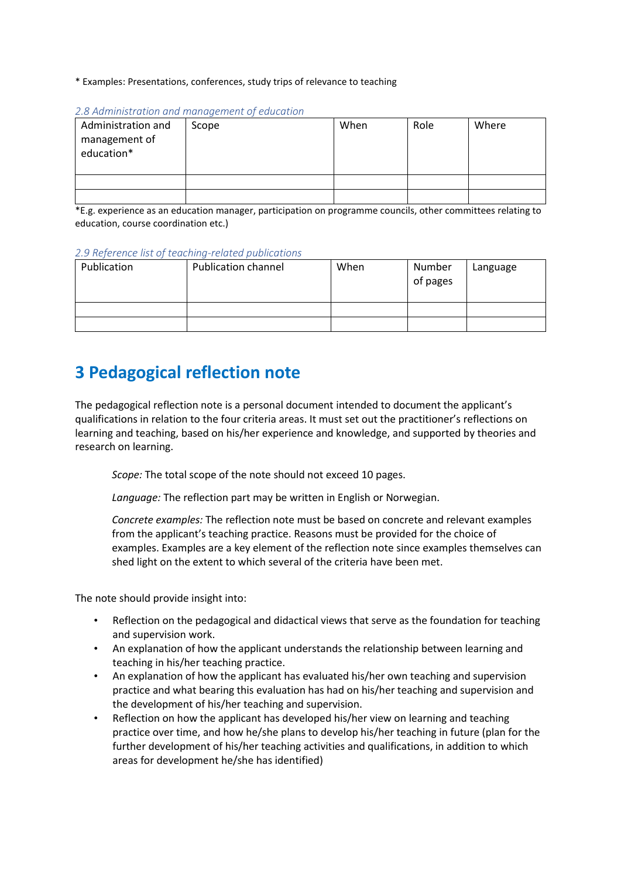\* Examples: Presentations, conferences, study trips of relevance to teaching

| Administration and<br>management of<br>education* | Scope | When | Role | Where |
|---------------------------------------------------|-------|------|------|-------|
|                                                   |       |      |      |       |
|                                                   |       |      |      |       |

#### *2.8 Administration and management of education*

\*E.g. experience as an education manager, participation on programme councils, other committees relating to education, course coordination etc.)

#### *2.9 Reference list of teaching-related publications*

| Publication | <b>Publication channel</b> | When | Number<br>of pages | Language |
|-------------|----------------------------|------|--------------------|----------|
|             |                            |      |                    |          |
|             |                            |      |                    |          |

# **3 Pedagogical reflection note**

The pedagogical reflection note is a personal document intended to document the applicant's qualifications in relation to the four criteria areas. It must set out the practitioner's reflections on learning and teaching, based on his/her experience and knowledge, and supported by theories and research on learning.

*Scope:* The total scope of the note should not exceed 10 pages.

*Language:* The reflection part may be written in English or Norwegian.

*Concrete examples:* The reflection note must be based on concrete and relevant examples from the applicant's teaching practice. Reasons must be provided for the choice of examples. Examples are a key element of the reflection note since examples themselves can shed light on the extent to which several of the criteria have been met.

The note should provide insight into:

- Reflection on the pedagogical and didactical views that serve as the foundation for teaching and supervision work.
- An explanation of how the applicant understands the relationship between learning and teaching in his/her teaching practice.
- An explanation of how the applicant has evaluated his/her own teaching and supervision practice and what bearing this evaluation has had on his/her teaching and supervision and the development of his/her teaching and supervision.
- Reflection on how the applicant has developed his/her view on learning and teaching practice over time, and how he/she plans to develop his/her teaching in future (plan for the further development of his/her teaching activities and qualifications, in addition to which areas for development he/she has identified)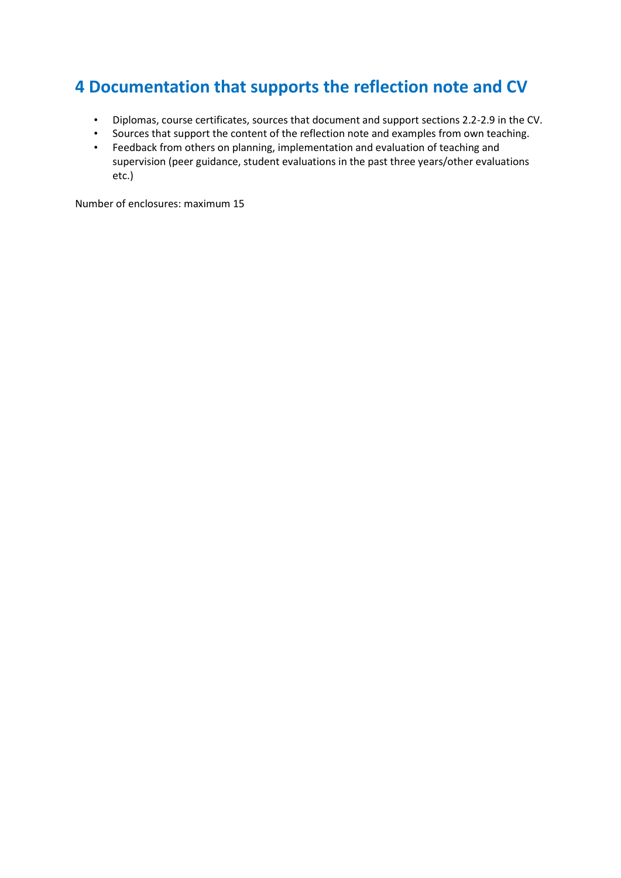# **4 Documentation that supports the reflection note and CV**

- Diplomas, course certificates, sources that document and support sections 2.2-2.9 in the CV.
- Sources that support the content of the reflection note and examples from own teaching.
- Feedback from others on planning, implementation and evaluation of teaching and supervision (peer guidance, student evaluations in the past three years/other evaluations etc.)

Number of enclosures: maximum 15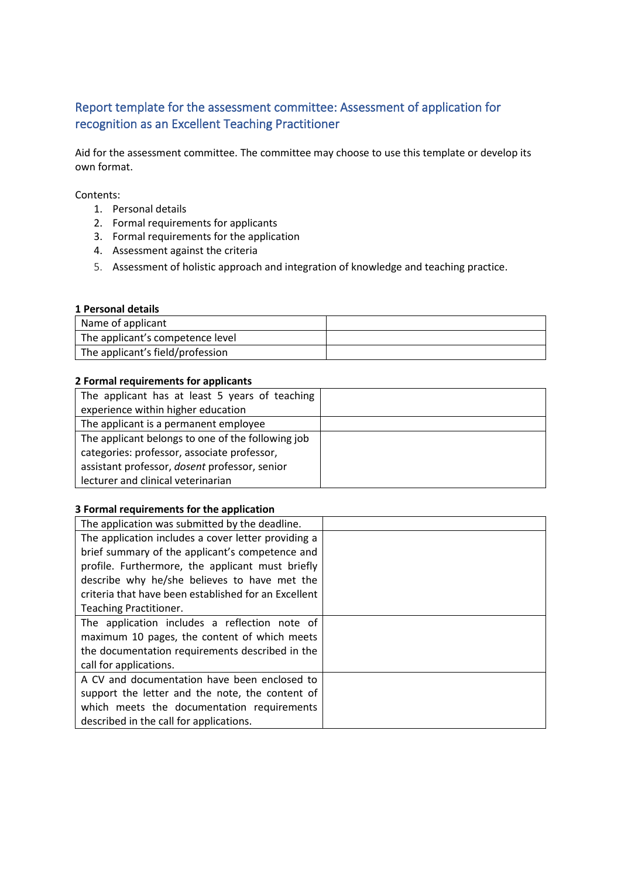# Report template for the assessment committee: Assessment of application for recognition as an Excellent Teaching Practitioner

Aid for the assessment committee. The committee may choose to use this template or develop its own format.

Contents:

- 1. Personal details
- 2. Formal requirements for applicants
- 3. Formal requirements for the application
- 4. Assessment against the criteria
- 5. Assessment of holistic approach and integration of knowledge and teaching practice.

## **1 Personal details**

| Name of applicant                |  |
|----------------------------------|--|
| The applicant's competence level |  |
| The applicant's field/profession |  |

### **2 Formal requirements for applicants**

| The applicant has at least 5 years of teaching    |  |
|---------------------------------------------------|--|
| experience within higher education                |  |
| The applicant is a permanent employee             |  |
| The applicant belongs to one of the following job |  |
| categories: professor, associate professor,       |  |
| assistant professor, dosent professor, senior     |  |
| lecturer and clinical veterinarian                |  |

#### **3 Formal requirements for the application**

| The application was submitted by the deadline.       |  |
|------------------------------------------------------|--|
| The application includes a cover letter providing a  |  |
| brief summary of the applicant's competence and      |  |
| profile. Furthermore, the applicant must briefly     |  |
| describe why he/she believes to have met the         |  |
| criteria that have been established for an Excellent |  |
| Teaching Practitioner.                               |  |
| The application includes a reflection note of        |  |
| maximum 10 pages, the content of which meets         |  |
| the documentation requirements described in the      |  |
| call for applications.                               |  |
| A CV and documentation have been enclosed to         |  |
| support the letter and the note, the content of      |  |
| which meets the documentation requirements           |  |
| described in the call for applications.              |  |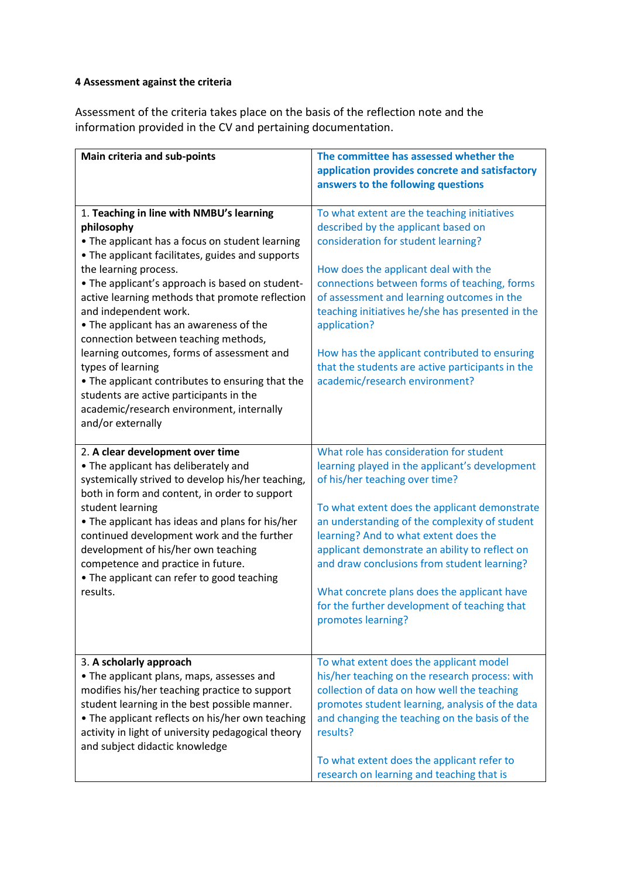## **4 Assessment against the criteria**

Assessment of the criteria takes place on the basis of the reflection note and the information provided in the CV and pertaining documentation.

| Main criteria and sub-points                       | The committee has assessed whether the           |
|----------------------------------------------------|--------------------------------------------------|
|                                                    | application provides concrete and satisfactory   |
|                                                    | answers to the following questions               |
|                                                    |                                                  |
| 1. Teaching in line with NMBU's learning           | To what extent are the teaching initiatives      |
| philosophy                                         | described by the applicant based on              |
| . The applicant has a focus on student learning    | consideration for student learning?              |
| • The applicant facilitates, guides and supports   |                                                  |
| the learning process.                              | How does the applicant deal with the             |
| • The applicant's approach is based on student-    | connections between forms of teaching, forms     |
| active learning methods that promote reflection    | of assessment and learning outcomes in the       |
| and independent work.                              | teaching initiatives he/she has presented in the |
| • The applicant has an awareness of the            | application?                                     |
| connection between teaching methods,               |                                                  |
| learning outcomes, forms of assessment and         | How has the applicant contributed to ensuring    |
| types of learning                                  | that the students are active participants in the |
| . The applicant contributes to ensuring that the   | academic/research environment?                   |
| students are active participants in the            |                                                  |
| academic/research environment, internally          |                                                  |
| and/or externally                                  |                                                  |
|                                                    |                                                  |
| 2. A clear development over time                   | What role has consideration for student          |
| • The applicant has deliberately and               | learning played in the applicant's development   |
| systemically strived to develop his/her teaching,  | of his/her teaching over time?                   |
| both in form and content, in order to support      |                                                  |
| student learning                                   | To what extent does the applicant demonstrate    |
| • The applicant has ideas and plans for his/her    | an understanding of the complexity of student    |
| continued development work and the further         | learning? And to what extent does the            |
| development of his/her own teaching                | applicant demonstrate an ability to reflect on   |
| competence and practice in future.                 | and draw conclusions from student learning?      |
| • The applicant can refer to good teaching         |                                                  |
| results.                                           | What concrete plans does the applicant have      |
|                                                    | for the further development of teaching that     |
|                                                    | promotes learning?                               |
|                                                    |                                                  |
|                                                    |                                                  |
| 3. A scholarly approach                            | To what extent does the applicant model          |
| • The applicant plans, maps, assesses and          | his/her teaching on the research process: with   |
| modifies his/her teaching practice to support      | collection of data on how well the teaching      |
| student learning in the best possible manner.      | promotes student learning, analysis of the data  |
| • The applicant reflects on his/her own teaching   | and changing the teaching on the basis of the    |
| activity in light of university pedagogical theory | results?                                         |
| and subject didactic knowledge                     |                                                  |
|                                                    | To what extent does the applicant refer to       |
|                                                    | research on learning and teaching that is        |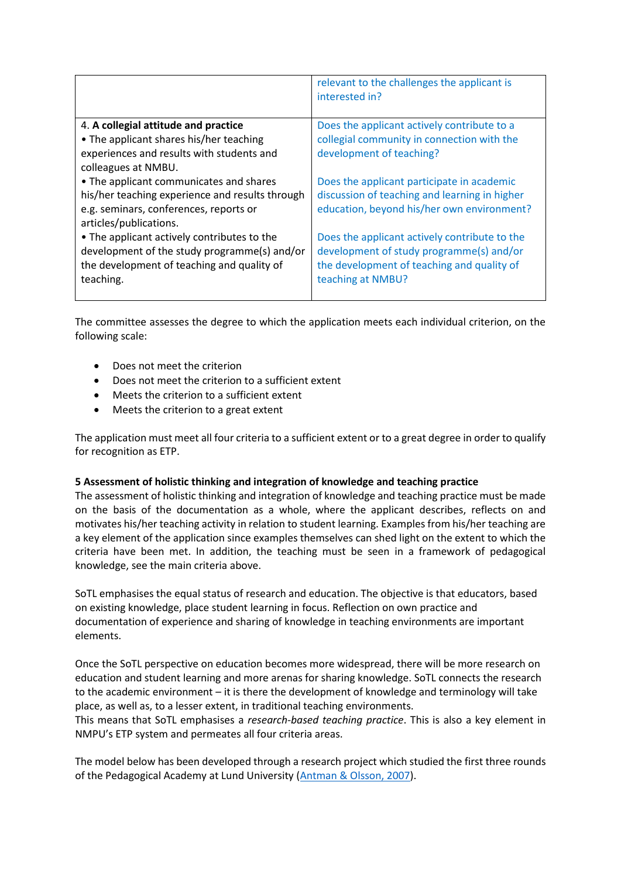|                                                 | relevant to the challenges the applicant is<br>interested in? |
|-------------------------------------------------|---------------------------------------------------------------|
| 4. A collegial attitude and practice            | Does the applicant actively contribute to a                   |
| • The applicant shares his/her teaching         | collegial community in connection with the                    |
| experiences and results with students and       | development of teaching?                                      |
| colleagues at NMBU.                             |                                                               |
| • The applicant communicates and shares         | Does the applicant participate in academic                    |
| his/her teaching experience and results through | discussion of teaching and learning in higher                 |
| e.g. seminars, conferences, reports or          | education, beyond his/her own environment?                    |
| articles/publications.                          |                                                               |
| • The applicant actively contributes to the     | Does the applicant actively contribute to the                 |
| development of the study programme(s) and/or    | development of study programme(s) and/or                      |
| the development of teaching and quality of      | the development of teaching and quality of                    |
| teaching.                                       | teaching at NMBU?                                             |
|                                                 |                                                               |

The committee assesses the degree to which the application meets each individual criterion, on the following scale:

- Does not meet the criterion
- Does not meet the criterion to a sufficient extent
- Meets the criterion to a sufficient extent
- Meets the criterion to a great extent

The application must meet all four criteria to a sufficient extent or to a great degree in order to qualify for recognition as ETP.

### **5 Assessment of holistic thinking and integration of knowledge and teaching practice**

The assessment of holistic thinking and integration of knowledge and teaching practice must be made on the basis of the documentation as a whole, where the applicant describes, reflects on and motivates his/her teaching activity in relation to student learning. Examples from his/her teaching are a key element of the application since examples themselves can shed light on the extent to which the criteria have been met. In addition, the teaching must be seen in a framework of pedagogical knowledge, see the main criteria above.

SoTL emphasises the equal status of research and education. The objective is that educators, based on existing knowledge, place student learning in focus. Reflection on own practice and documentation of experience and sharing of knowledge in teaching environments are important elements.

Once the SoTL perspective on education becomes more widespread, there will be more research on education and student learning and more arenas for sharing knowledge. SoTL connects the research to the academic environment – it is there the development of knowledge and terminology will take place, as well as, to a lesser extent, in traditional teaching environments.

This means that SoTL emphasises a *research-based teaching practice*. This is also a key element in NMPU's ETP system and permeates all four criteria areas.

The model below has been developed through a research project which studied the first three rounds of the Pedagogical Academy at Lund University [\(Antman & Olsson, 2007\)](https://srhe.tandfonline.com/doi/full/10.1080/21568235.2013.778041#https://srhe.tandfonline.com/doi/full/10.1080/21568235.2013.778041).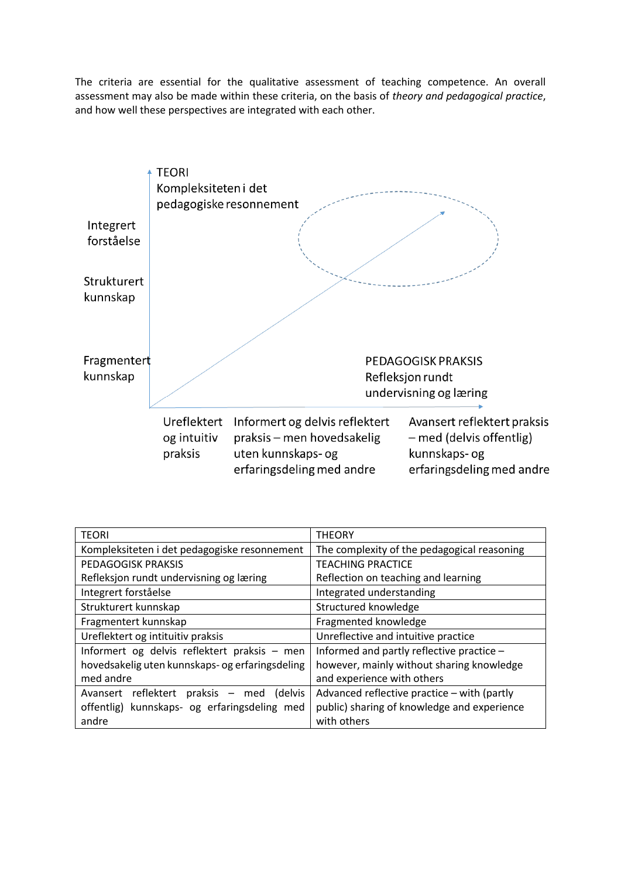The criteria are essential for the qualitative assessment of teaching competence. An overall assessment may also be made within these criteria, on the basis of *theory and pedagogical practice*, and how well these perspectives are integrated with each other.



| <b>TEORI</b>                                    | <b>THEORY</b>                               |  |
|-------------------------------------------------|---------------------------------------------|--|
| Kompleksiteten i det pedagogiske resonnement    | The complexity of the pedagogical reasoning |  |
| PEDAGOGISK PRAKSIS                              | <b>TEACHING PRACTICE</b>                    |  |
| Refleksjon rundt undervisning og læring         | Reflection on teaching and learning         |  |
| Integrert forståelse                            | Integrated understanding                    |  |
| Strukturert kunnskap                            | Structured knowledge                        |  |
| Fragmentert kunnskap                            | Fragmented knowledge                        |  |
| Ureflektert og intituitiv praksis               | Unreflective and intuitive practice         |  |
| Informert og delvis reflektert praksis - men    | Informed and partly reflective practice -   |  |
| hovedsakelig uten kunnskaps- og erfaringsdeling | however, mainly without sharing knowledge   |  |
| med andre                                       | and experience with others                  |  |
| Avansert reflektert praksis<br>(delvis<br>- med | Advanced reflective practice - with (partly |  |
| offentlig) kunnskaps- og erfaringsdeling med    | public) sharing of knowledge and experience |  |
| andre                                           | with others                                 |  |